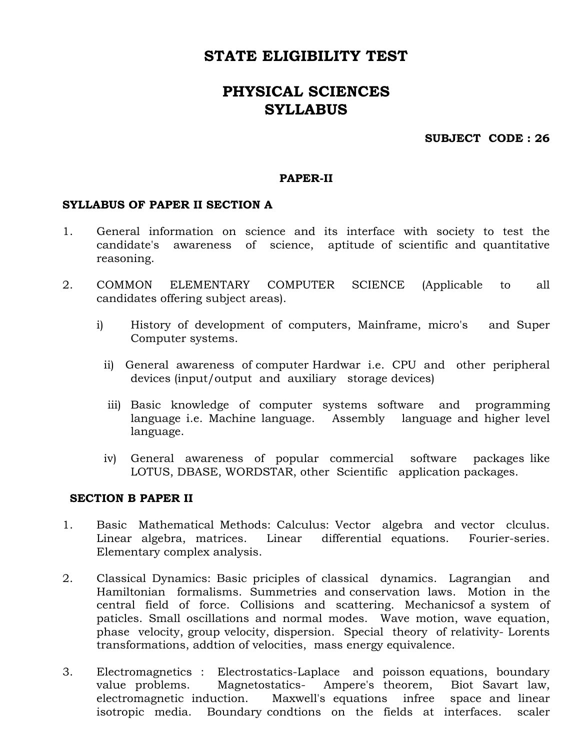## STATE ELIGIBILITY TEST

# PHYSICAL SCIENCES SYLLABUS

### SUBJECT CODE : 26

#### PAPER-II

### SYLLABUS OF PAPER II SECTION A

- 1. General information on science and its interface with society to test the candidate's awareness of science, aptitude of scientific and quantitative reasoning.
- 2. COMMON ELEMENTARY COMPUTER SCIENCE (Applicable to all candidates offering subject areas).
	- i) History of development of computers, Mainframe, micro's and Super Computer systems.
		- ii) General awareness of computer Hardwar i.e. CPU and other peripheral devices (input/output and auxiliary storage devices)
		- iii) Basic knowledge of computer systems software and programming language i.e. Machine language. Assembly language and higher level language.
		- iv) General awareness of popular commercial software packages like LOTUS, DBASE, WORDSTAR, other Scientific application packages.

#### SECTION B PAPER II

- 1. Basic Mathematical Methods: Calculus: Vector algebra and vector clculus. Linear algebra, matrices. Linear differential equations. Fourier-series. Elementary complex analysis.
- 2. Classical Dynamics: Basic priciples of classical dynamics. Lagrangian and Hamiltonian formalisms. Summetries and conservation laws. Motion in the central field of force. Collisions and scattering. Mechanicsof a system of paticles. Small oscillations and normal modes. Wave motion, wave equation, phase velocity, group velocity, dispersion. Special theory of relativity- Lorents transformations, addtion of velocities, mass energy equivalence.
- 3. Electromagnetics : Electrostatics-Laplace and poisson equations, boundary value problems. Magnetostatics- Ampere's theorem, Biot Savart law, electromagnetic induction. Maxwell's equations infree space and linear isotropic media. Boundary condtions on the fields at interfaces. scaler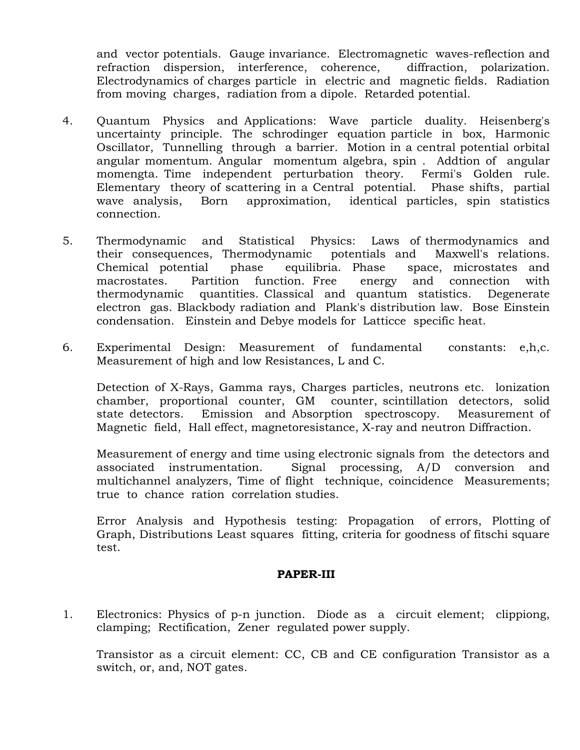and vector potentials. Gauge invariance. Electromagnetic waves-reflection and refraction dispersion, interference, coherence, diffraction, polarization. Electrodynamics of charges particle in electric and magnetic fields. Radiation from moving charges, radiation from a dipole. Retarded potential.

- 4. Quantum Physics and Applications: Wave particle duality. Heisenberg's uncertainty principle. The schrodinger equation particle in box, Harmonic Oscillator, Tunnelling through a barrier. Motion in a central potential orbital angular momentum. Angular momentum algebra, spin . Addtion of angular momengta. Time independent perturbation theory. Fermi's Golden rule. Elementary theory of scattering in a Central potential. Phase shifts, partial wave analysis, Born approximation, identical particles, spin statistics connection.
- 5. Thermodynamic and Statistical Physics: Laws of thermodynamics and their consequences, Thermodynamic potentials and Maxwell's relations. Chemical potential phase equilibria. Phase space, microstates and macrostates. Partition function. Free energy and connection with thermodynamic quantities. Classical and quantum statistics. Degenerate electron gas. Blackbody radiation and Plank's distribution law. Bose Einstein condensation. Einstein and Debye models for Latticce specific heat.
- 6. Experimental Design: Measurement of fundamental constants: e,h,c. Measurement of high and low Resistances, L and C.

 Detection of X-Rays, Gamma rays, Charges particles, neutrons etc. lonization chamber, proportional counter, GM counter, scintillation detectors, solid state detectors. Emission and Absorption spectroscopy. Measurement of Magnetic field, Hall effect, magnetoresistance, X-ray and neutron Diffraction.

Measurement of energy and time using electronic signals from the detectors and associated instrumentation. Signal processing, A/D conversion and multichannel analyzers, Time of flight technique, coincidence Measurements; true to chance ration correlation studies.

 Error Analysis and Hypothesis testing: Propagation of errors, Plotting of Graph, Distributions Least squares fitting, criteria for goodness of fitschi square test.

#### PAPER-III

1. Electronics: Physics of p-n junction. Diode as a circuit element; clippiong, clamping; Rectification, Zener regulated power supply.

 Transistor as a circuit element: CC, CB and CE configuration Transistor as a switch, or, and, NOT gates.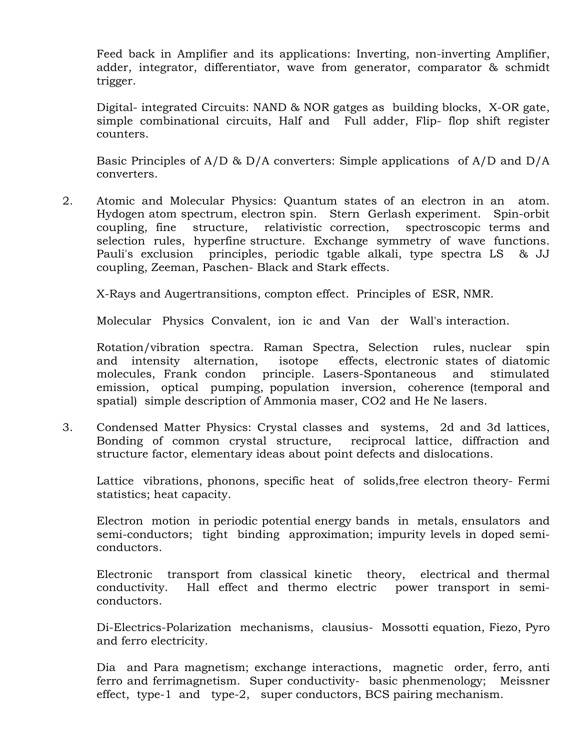Feed back in Amplifier and its applications: Inverting, non-inverting Amplifier, adder, integrator, differentiator, wave from generator, comparator & schmidt trigger.

 Digital- integrated Circuits: NAND & NOR gatges as building blocks, X-OR gate, simple combinational circuits, Half and Full adder, Flip- flop shift register counters.

Basic Principles of A/D & D/A converters: Simple applications of A/D and D/A converters.

2. Atomic and Molecular Physics: Quantum states of an electron in an atom. Hydogen atom spectrum, electron spin. Stern Gerlash experiment. Spin-orbit coupling, fine structure, relativistic correction, spectroscopic terms and selection rules, hyperfine structure. Exchange symmetry of wave functions. Pauli's exclusion principles, periodic tgable alkali, type spectra LS & JJ coupling, Zeeman, Paschen- Black and Stark effects.

X-Rays and Augertransitions, compton effect. Principles of ESR, NMR.

Molecular Physics Convalent, ion ic and Van der Wall's interaction.

Rotation/vibration spectra. Raman Spectra, Selection rules, nuclear spin and intensity alternation, isotope effects, electronic states of diatomic molecules, Frank condon principle. Lasers-Spontaneous and stimulated emission, optical pumping, population inversion, coherence (temporal and spatial) simple description of Ammonia maser, CO2 and He Ne lasers.

3. Condensed Matter Physics: Crystal classes and systems, 2d and 3d lattices, Bonding of common crystal structure, reciprocal lattice, diffraction and structure factor, elementary ideas about point defects and dislocations.

 Lattice vibrations, phonons, specific heat of solids,free electron theory- Fermi statistics; heat capacity.

Electron motion in periodic potential energy bands in metals, ensulators and semi-conductors; tight binding approximation; impurity levels in doped semiconductors.

Electronic transport from classical kinetic theory, electrical and thermal conductivity. Hall effect and thermo electric power transport in semiconductors.

Di-Electrics-Polarization mechanisms, clausius- Mossotti equation, Fiezo, Pyro and ferro electricity.

Dia and Para magnetism; exchange interactions, magnetic order, ferro, anti ferro and ferrimagnetism. Super conductivity- basic phenmenology; Meissner effect, type-1 and type-2, super conductors, BCS pairing mechanism.